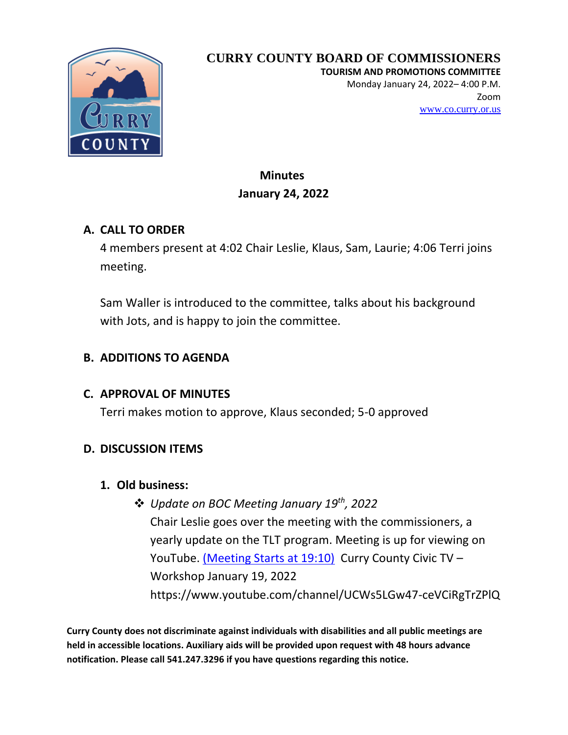

**TOURISM AND PROMOTIONS COMMITTEE**

Monday January 24, 2022– 4:00 P.M. Zoom [www.co.curry.or.us](http://www.co.curry.or.us/)

## **Minutes January 24, 2022**

## **A. CALL TO ORDER**

4 members present at 4:02 Chair Leslie, Klaus, Sam, Laurie; 4:06 Terri joins meeting.

Sam Waller is introduced to the committee, talks about his background with Jots, and is happy to join the committee.

## **B. ADDITIONS TO AGENDA**

## **C. APPROVAL OF MINUTES**

Terri makes motion to approve, Klaus seconded; 5-0 approved

## **D. DISCUSSION ITEMS**

## **1. Old business:**

❖ *Update on BOC Meeting January 19th, 2022* Chair Leslie goes over the meeting with the commissioners, a yearly update on the TLT program. Meeting is up for viewing on YouTube. [\(Meeting Starts](https://www.youtube.com/watch?v=x6XST7Dt7hE&list=PLsqQr2yTu-FMW7pypM9fcZqr_YMSXmGTW&index=79) at 19:10) Curry County Civic TV – Workshop January 19, 2022 https://www.youtube.com/channel/UCWs5LGw47-ceVCiRgTrZPlQ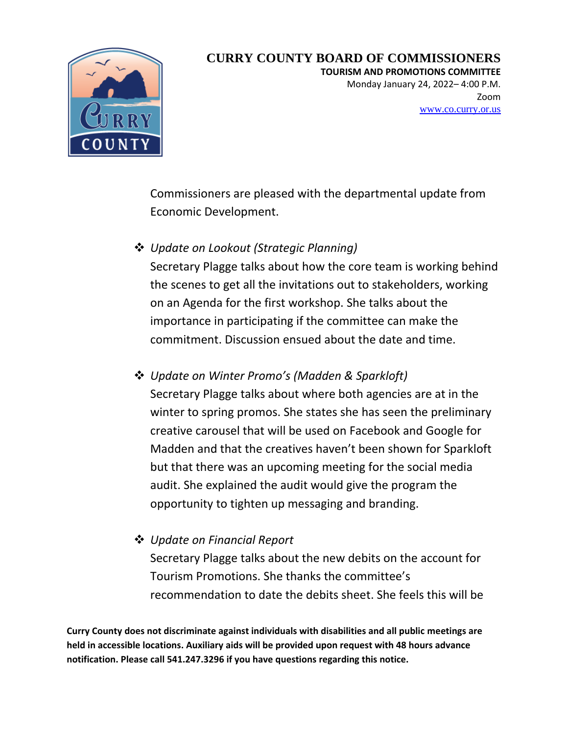

**TOURISM AND PROMOTIONS COMMITTEE**

Monday January 24, 2022– 4:00 P.M. Zoom [www.co.curry.or.us](http://www.co.curry.or.us/)

Commissioners are pleased with the departmental update from Economic Development.

❖ *Update on Lookout (Strategic Planning)*

Secretary Plagge talks about how the core team is working behind the scenes to get all the invitations out to stakeholders, working on an Agenda for the first workshop. She talks about the importance in participating if the committee can make the commitment. Discussion ensued about the date and time.

❖ *Update on Winter Promo's (Madden & Sparkloft)* Secretary Plagge talks about where both agencies are at in the winter to spring promos. She states she has seen the preliminary creative carousel that will be used on Facebook and Google for Madden and that the creatives haven't been shown for Sparkloft but that there was an upcoming meeting for the social media audit. She explained the audit would give the program the opportunity to tighten up messaging and branding.

❖ *Update on Financial Report*

Secretary Plagge talks about the new debits on the account for Tourism Promotions. She thanks the committee's recommendation to date the debits sheet. She feels this will be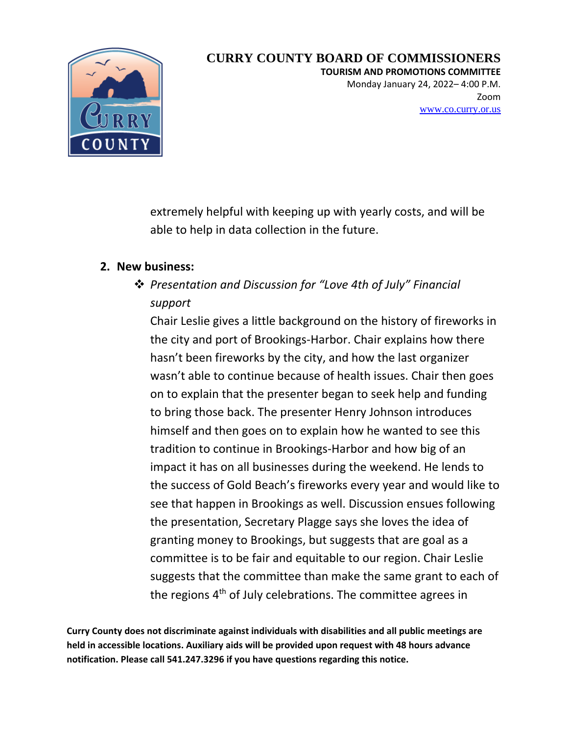

**TOURISM AND PROMOTIONS COMMITTEE**

Monday January 24, 2022– 4:00 P.M. Zoom [www.co.curry.or.us](http://www.co.curry.or.us/)

extremely helpful with keeping up with yearly costs, and will be able to help in data collection in the future.

#### **2. New business:**

# ❖ *Presentation and Discussion for "Love 4th of July" Financial support*

Chair Leslie gives a little background on the history of fireworks in the city and port of Brookings-Harbor. Chair explains how there hasn't been fireworks by the city, and how the last organizer wasn't able to continue because of health issues. Chair then goes on to explain that the presenter began to seek help and funding to bring those back. The presenter Henry Johnson introduces himself and then goes on to explain how he wanted to see this tradition to continue in Brookings-Harbor and how big of an impact it has on all businesses during the weekend. He lends to the success of Gold Beach's fireworks every year and would like to see that happen in Brookings as well. Discussion ensues following the presentation, Secretary Plagge says she loves the idea of granting money to Brookings, but suggests that are goal as a committee is to be fair and equitable to our region. Chair Leslie suggests that the committee than make the same grant to each of the regions 4<sup>th</sup> of July celebrations. The committee agrees in